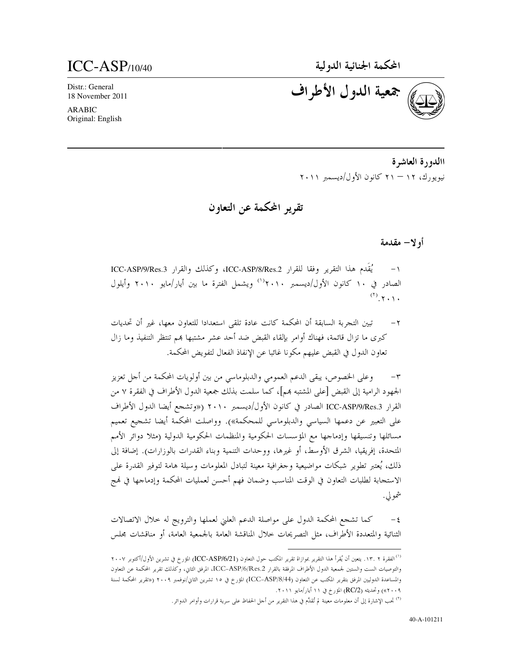# $ICC-ASP$ <sub>/10/40</sub>

Distr.: General 18 November 2011

**ARABIC** Original: English

جمعية الدول الأطراف

االدورة العاشرة نيويو, ك، ١٢ – ٢١ كانون الأول/ديسمبر ٢٠١١

تقرير المحكمة عن التعاون

#### أو لا— مقدمة

يُقْدِم هذا التقرير وفقا للقرار ICC-ASP/8/Res.2، وكذلك والقرار ICC-ASP/9/Res.3 الصادر في ١٠ كانون الأول/ديسمبر ٢٠١٠'' ويشمل الفترة ما بين أيار/مايو ٢٠١٠ وأيلول  $(\mathcal{F}, \mathcal{F}, \mathcal{F})$ 

تبين التجربة السابقة أن المحكمة كانت عادة تلقى استعدادا للتعاون معها، غير أن تحديات  $-\tau$ كبرى ما تزال قائمة، فهناك أوامر بإلقاء القبض ضد أحد عشر مشتبها هم تنتظر التنفيذ وما زال تعاون الدول في القبض عليهم مكونا غائبا عن الإنفاذ الفعال لتفويض المحكمة.

وعلى الخصوص، يبقى الدعم العمومي والدبلوماسي من بين أولويات المحكمة من أحل تعزيز  $-\tau$ الجمهود الرامية إلى القبض [على المشتبه هم]، كما سلمت بذلك جمعية الدول الأطراف في الفقرة ٧ من القرار ICC-ASP/9/Res.3 الصادر في كانون الأول/ديسمبر ٢٠١٠ («وتشجع أيضا الدول الأطراف على التعبير عن دعمها السياسي والدبلوماسي للمحكمة»). وواصلت المحكمة أيضا تشجيع تعميم مسائلها وتنسيقها وإدماجها مع المؤسسات الحكومية والمنظمات الحكومية الدولية (مثلا دوائر الأمم المتحدة، إفريقيا، الشرق الأوسط، أو غيرها، ووحدات التنمية وبناء القدرات بالوزارات). إضافة إلى ذلك، يُعتبر تطوير شبكات مواضيعية وجغرافية معينة لتبادل المعلومات وسيلة هامة لتوفير القدرة على الاستجابة لطلبات التعاون في الوقت المناسب وضمان فهم أحسن لعمليات المحكمة وإدماجها في نمج شمولي.

كما تشجع المحكمة الدول على مواصلة الدعم العلني لعملها والترويج له حلال الاتصالات الثنائية والمتعددة الأطراف، مثل التصريحات حلال المناقشة العامة بالجمعية العامة، أو مناقشات مجلس

<sup>&</sup>lt;sup>(١)</sup> الفقرة ١٣. 1٣. يتعين أن يُقرأ هذا التقرير بموازاة تقرير المكتب حول التعاون (ICC-ASP/6/21) المؤرخ في تشرين الأول/أكتوبر ٢٠٠٧ والتوصيات الست والستين لجمعية الدول الأطراف المرفقة بالقرار ICC–ASP/6/Res.2، المرفق الثاني، وكذلك تقرير المحكمة عن التعاون والمساعدة الدوليين المرفق بتقرير المكتب عن التعاون (ICC–ASP/8/44) المؤرخ في ١٥ تشرين الثاني/نوفمبر ٢٠٠٩ («تقرير المحكمة لسنة ٢٠٠٩») وتحديثه (RC/2) المؤرخ في ١١ أيار/مايو ٢٠١١.

<sup>&</sup>lt;sup>(٢)</sup> تجب الإشارة إلى أن معلومات معينة لم تُقدَّم في هذا التقرير من أجل الحفاظ على سرية قرارات وأوامر الدوائر.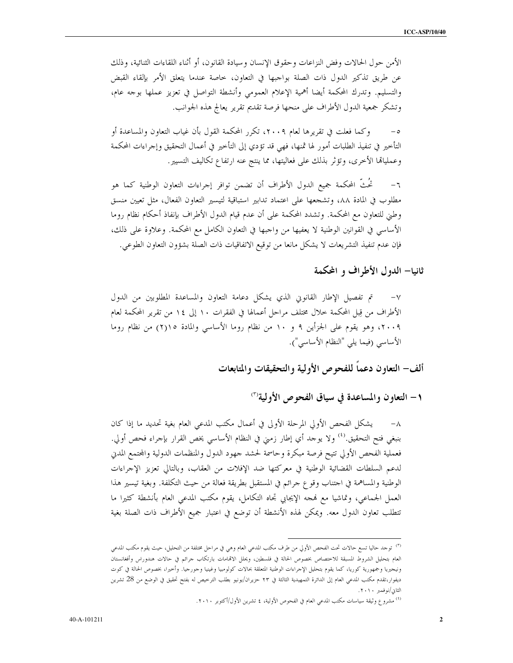الأمن حول الحالات وفض النزاعات وحقوق الإنسان وسيادة القانون، أو أثناء اللقاءات الثنائية، وذلك عن طريق تذكير الدول ذات الصلة بواجبها في التعاون، خاصة عندما يتعلق الأمر بإلقاء القبض والتسليم. وتدرك المحكمة أيضا أهمية الإعلام العمومي وأنشطة التواصل في تعزيز عملها بوحه عام، وتشكر جمعية الدول الأطراف على منحها فرصة تقديم تقرير يعالج هذه الجوانب.

وكما فعلت في تقريرها لعام ٢٠٠٩، تكرر المحكمة القول بأن غياب التعاون والمساعدة أو  $-\circ$ التأخير في تنفيذ الطلبات أمور لها ثمنها، فهي قد تؤدي إلى التأخير في أعمال التحقيق وإحراءات المحكمة وعمليالها الأخرى، وتؤثَّر بذلك على فعاليتها، مما ينتج عنه ارتفاع تكاليف التسيير.

تُحُتُّ المحكمة جميع الدول الأطراف أن تضمن توافر إجراءات التعاون الوطنية كما هو  $-\tau$ مطلوب في المادة ٨٨، وتشجعها على اعتماد تدابير استباقية لتيسير التعاون الفعال، مثل تعيين منسق وطني للتعاون مع المحكمة. وتشدد المحكمة على أن عدم قيام الدول الأطراف بإنفاذ أحكام نظام روما الأساسي في القوانين الوطنية لا يعفيها من واحبها في التعاون الكامل مع المحكمة. وعلاوة على ذلك، فإن عدم تنفيذ التشريعات لا يشكل مانعا من توقيع الاتفاقيات ذات الصلة بشؤون التعاون الطوعي.

ثانيا– الدول الأطراف و المحكمة

تم تفصيل الإطار القانويي الذي يشكل دعامة التعاون والمساعدة المطلوبين من الدول الأطراف من قِبل المحكمة خلال مختلف مراحل أعمالها في الفقرات ١٠ إلى ١٤ من تقرير المحكمة لعام ٢٠٠٩، وهو يقوم على الجزأين ٩ و ١٠ من نظام روما الأساسي والمادة ٢٥(٢) من نظام روما الأساسي (فيما يلي "النظام الأساسي").

ألف– التعاون دعماً للفحوص الأولية والتحقيقات والمتابعات

١- التعاون والمساعدة في سياق الفحوص الأولية'"

٨– يشكل الفحص الأولى المرحلة الأولى في أعمال مكتب المدعى العام بغية تحديد ما إذا كان بنبغي فتح التحقيق.<sup>(٤)</sup> ولا يوحد أي إطار زمني في النظام الأساسي يخص القرار بإحراء فحص أولى. فعملية الفحص الأولى تتيح فرصة مبكرة وحاسمة لحشد حهود الدول والمنظمات الدولية والمحتمع المدبي لدعم السلطات القضائية الوطنية في معركتها ضد الإفلات من العقاب، وبالتالي تعزيز الإجراءات الوطنية والمساهمة في احتناب وقوع حرائم في المستقبل بطريقة فعالة من حيث التكلفة. وبغية تيسير هذا العمل الجماعي، وتماشيا مع فمجه الإيجابي تجاه التكامل، يقوم مكتب المدعى العام بأنشطة كثيرا ما تتطلب تعاون الدول معه. ويمكن لهذه الأنشطة أن توضع في اعتبار جميع الأطراف ذات الصلة بغية

<sup>&</sup>lt;sup>(٢)</sup> توجد حاليا تسع حالات تحت الفحص الأولي من طرف مكتب المدعى العام وه<sub>ى</sub> في مراحل مختلفة من التحليل، حيث يقوم مكتب المدعي العام بتحليل الشروط المسبقة للاحتصاص بخصوص الحالة في فلسطين، ويحلل الاقمامات بارتكاب جرائم في حالات هندوراس وأفغانستان ونيحيريا وجمهورية كوريا، كما يقوم بتحليل الإحراءات الوطنية المتعلقة بحالات كولومبيا وغينيا وجورحيا. وأخيرا، بخصوص الحالة في كوت ديفوار،تقدم مكتب المدعي العام إلى الدائرة التمهيدية الثالثة في ٢٣ حزيران/يونيو بطلب الترخيص له بفتح تحقيق في الوضع من 28 تشرين الثانى/نوفمبر ٢٠١٠.

<sup>&</sup>lt;sup>(٤)</sup> مشروع وثيقة سياسات مكتب المدعى العام في الفحوص الأولية، ٤ تشرين الأول/أكتوبر ٢٠١٠.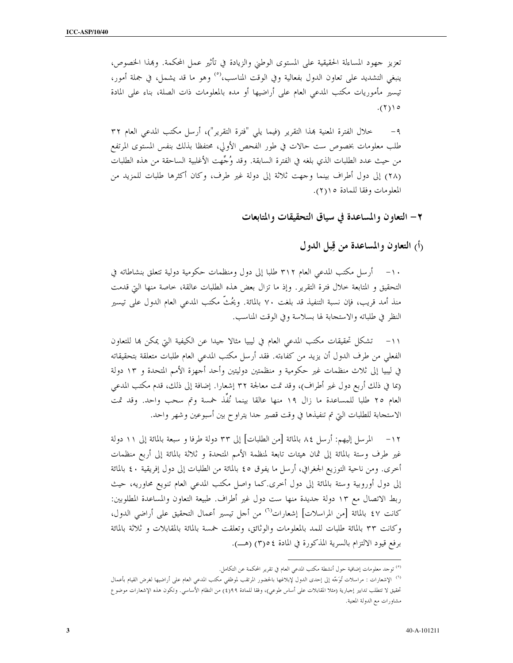تعزيز جهود المساءلة الحقيقية على المستوى الوطين والزيادة في تأثير عمل المحكمة. وبمذا الخصوص، ينبغي التشديد على تعاون الدول بفعالية وفي الوقت المناسب،<sup>(٥)</sup> وهو ما قد يشمل، في جملة أمور، تيسير مأموريات مكتب المدعى العام على أراضيها أو مده بالمعلومات ذات الصلة، بناء على المادة  $(1)$ 

خلال الفترة المعنية بهذا التقرير (فيما يلي "فترة التقرير")، أرسل مكتب المدعى العام ٣٢  $-9$ طلب معلومات بخصوص ست حالات في طور الفحص الأولي، محتفظًا بذلك بنفس المستوى المرتفع من حيث عدد الطلبات الذي بلغه في الفترة السابقة. وقد وُجِّهت الأغلبية الساحقة من هذه الطلبات (٢٨) إلى دول أطراف بينما وجهت ثلاثة إلى دولة غير طرف، وكان أكثرها طلبات للمزيد من المعلومات وفقا للمادة ١(٢).

٢– التعاون والمساعدة في سياق التحقيقات والمتابعات

(أ) التعاون والمساعدة من قِبل الدول

١٠– أرسل مكتب المدعى العام ٣١٢ طلبا إلى دول ومنظمات حكومية دولية تتعلق بنشاطاته في التحقيق و المتابعة خلال فترة التقرير. وإذ ما تزال بعض هذه الطلبات عالقة، خاصة منها التي قدمت منذ أمد قريب، فإن نسبة التنفيذ قد بلغت ٧٠ بالمائة. ويُحُثُّ مكتب المدعى العام الدول على تيسير النظر في طلباته والاستجابة لها بسلاسة وفي الوقت المناسب.

تشكل تحقيقات مكتب المدعى العام في ليبيا مثالا جيدا عن الكيفية التي يمكن بما للتعاون  $-11$ الفعلى من طرف الدول أن يزيد من كفاءته. فقد أرسل مكتب المدعى العام طلبات متعلقة بتحقيقاته في ليبيا إلى ثلاث منظمات غير حكومية و منظمتين دوليتين وأحد أجهزة الأمم المتحدة و ١٣ دولة (بما في ذلك أربع دول غير أطراف)، وقد تمت معالجة ٣٢ إشعارا. إضافة إلى ذلك، قدم مكتب المدعى العام ٢٥ طلبا للمساعدة ما زال ١٩ منها عالقا بينما نُفَذ حمسة وتم سحب واحد. وقد تمت الاستجابة للطلبات التي تم تنفيذها في وقت قصير حدا يتراوح بين أسبوعين وشهر واحد.

١٢ – المرسل إليهم: أرسل ٨٤ بالمائة [من الطلبات] إلى ٣٣ دولة طرفا و سبعة بالمائة إلى ١١ دولة غير طرف وستة بالمائة إلى ثمان هيئات تابعة لمنظمة الأمم المتحدة و ثلاثة بالمائة إلى أربع منظمات أخرى. ومن ناحية التوزيع الجغرافي، أرسل ما يفوق ٤٥ بالمائة من الطلبات إلى دول إفريقية ٤٠ بالمائة إلى دول أوروبية وستة بالمائة إلى دول أخرى.كما واصل مكتب المدعى العام تنويع محاوريه، حيث ربط الاتصال مع ١٣ دولة جديدة منها ست دول غير أطراف. طبيعة التعاون والمساعدة المطلوبين: كانت ٤٧ بالمائة [من المراسلات] إشعارات<sup>(٦)</sup> من أحل تيسير أعمال التحقيق على أراضي الدول، وكانت ٣٣ بالمائة طلبات للمد بالمعلومات والوثائق، وتعلقت خمسة بالمائة بالمقابلات و ثلاثة بالمائة برفع قيود الالتزام بالسرية المذكورة في المادة ٥٤°(٣) (هـ).

<sup>&</sup>lt;sup>(٥)</sup> توجد معلومات إضافية حول أنشطة مكتب المدعي العام في تقرير المحكمة عن التكامل.

<sup>&</sup>lt;sup>(٦)</sup> الإشعارات : مراسلات تُوَحَّه إلى إحدى الدول لإبلاغها بالحضور المرتقب لموظفي مكتب المدعي العام على أراضيها لغرض القيام بأعمال تحقيق لا تتطلب تدابير إحبارية (مثلا المقابلات على أساس طوعي)، وفقا للمادة ٩٩(٤) من النظام الأساسي. وتكون هذه الإشعارات موضو ع مشاورات مع الدولة المعنية.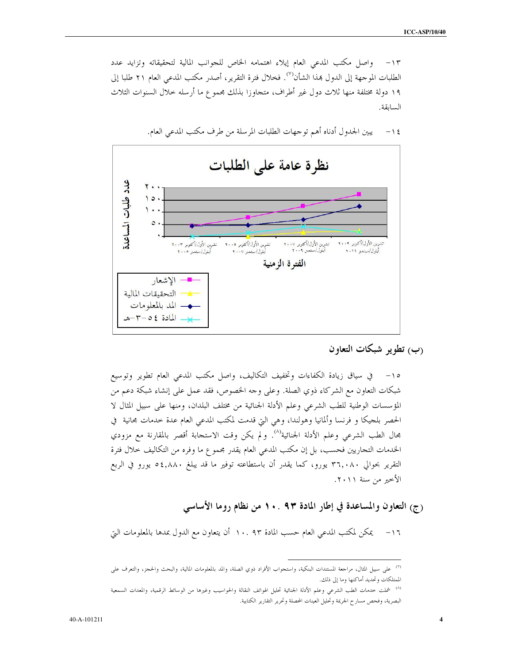واصل مكتب المدعى العام إيلاء اهتمامه الخاص للجوانب المالية لتحقيقاته وتزايد عدد  $-11$ الطلبات الموجهة إلى الدول بمذا الشأن<sup>(٧)</sup>. فخلال فترة التقرير، أصدر مكتب المدعى العام ٢١ طلبا إلى ١٩ دولة مختلفة منها ثلاث دول غير أطراف، متجاوزا بذلك مجموع ما أرسله حلال السنوات الثلاث السابقة.



يبين الجدول أدناه أهم توجهات الطلبات المرسلة من طرف مكتب المدعى العام.  $-15$ 

(ب) تطوير شبكات التعاون

شبكات التعاون مع الشركاء ذوي الصلة. وعلى وجه الخصوص، فقد عمل على إنشاء شبكة دعم من المؤسسات الوطنية للطب الشرعي وعلم الأدلة الجنائية من مختلف البلدان، ومنها على سبيل المثال لا الحصر بلجيكا و فرنسا وألمانيا وهولندا، وهي التي قدمت لمكتب المدعى العام عدة حدمات محانية ً في بحال الطب الشرعي وعلم الأدلة الجنائية<sup>(٨)</sup>. ولم يكن وقت الاستجابة أقصر بالمقارنة مع مزودي الخدمات التجاريين فحسب، بل إن مكتب المدعى العام يقدر محموع ما وفره من التكاليف خلال فترة التقرير بحوالي ٣٦,٠٨٠ يورو، كما يقدر أن باستطاعته توفير ما قد يبلغ ٤,٨٨٠ يورو في الربع الأخير من سنة ٢٠١١.

# (ج) التعاون والمساعدة في إطار المادة ٩٣ . • ١ من نظام روما الأساسي

يمكن لمكتب المدعى العام حسب المادة ٩٣ .١٠ أن يتعاون مع الدول بمدها بالمعلومات التي  $-17$ 

<sup>&</sup>lt;sup>(٧)</sup> على سبيل المثال، مراجعة المستندات البنكية، واستجواب الأفراد ذوي الصلة، والمد بالمعلومات المالية، والبحث والحجز، والتعرف على الممتلكات وتحديد أماكنها وما إلى ذلك.

<sup>&</sup>lt;sup>(٨)</sup> شملت خدمات الطب الشرعي وعلم الأدلة الجنائية تحليل الهواتف النقالة والحواسيب وغيرها من الوسائط الرقمية، والمعدات السمعية البصرية، وفحص مسارح الجريمة وتحليل العينات المحصلة وتحرير التقارير الكتابية.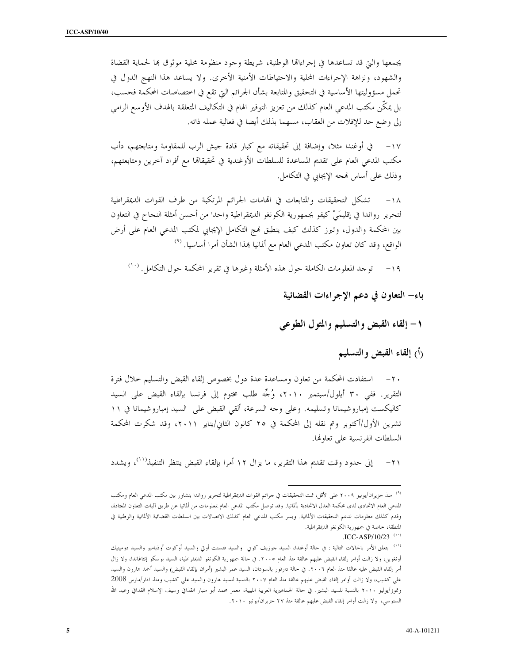يجمعها والبت قد تساعدها في إجراءالها الوطنية، شريطة وجود منظومة محلية موثوق بما لحماية القضاة والشهود، ونزاهة الإحراءات المحلية والاحتياطات الأمنية الأخرى. ولا يساعد هذا النهج الدول في تحمل مسؤوليتها الأساسية في التحقيق والمتابعة بشأن الجرائم التي تقع في اختصاصات المحكمة فحسب، بل يمكِّن مكتب المدعى العام كذلك من تعزيز التوفير الهام في التكاليف المتعلقة بالهدف الأوسع الرامي إلى وضع حد للإفلات من العقاب، مسهما بذلك أيضا في فعالية عمله ذاته.

في أوغندا مثلاً، وإضافة إلى تحقيقاته مع كبار قادة حيش الرب للمقاومة ومتابعتهم، دأب  $-1V$ مكتب المدعى العام على تقديم المساعدة للسلطات الأوغندية في تحقيقاقما مع أفراد آخرين ومتابعتهم، وذلك على أساس فمجه الإيجابي في التكامل.

تشكل التحقيقات والمتابعات في الفامات الجرائم المرتكبة من طرف القوات الديمقراطية  $-1\Lambda$ لتحرير رواندا في إقليمَىْ كيفو بجمهورية الكونغو الديمقراطية واحدا من أحسن أمثلة النجاح في التعاون بين المحكمة والدول، وتبرز كذلك كيف ينطبق فمج التكامل الإيجابي لمكتب المدعى العام على أرض الواقع، وقد كان تعاون مكتب المدعى العام مع ألمانيا بمذا الشأن أمرا أساسيا. <sup>(٩)</sup>

توجد المعلومات الكاملة حول هذه الأمثلة وغيرها في تقرير المحكمة حول التكامل. ```  $-19$ 

باء– التعاون في دعم الإجراءات القضائية

١- إلقاء القبض والتسليم والمثول الطوعي

رأ) إلقاء القبض والتسليم

استفادت المحكمة من تعاون ومساعدة عدة دول بخصوص إلقاء القبض والتسليم حلال فترة التقرير . ففي ٣٠ أيلول/سبتمبر ٢٠١٠، وُجِّه طلب مختوم إلى فرنسا بإلقاء القبض على السيد كاليكست إمباروشيمانا وتسليمه. وعلى وحه السرعة، ألقى القبض على السيد إمباروشيمانا في ١١ تشرين الأول/أكتوبر وتم نقله إلى المحكمة في ٢٥ كانون الثاني/يناير ٢٠١١، وقد شكرت المحكمة السلطات الفرنسية على تعاولها.

إلى حدود وقت تقديم هذا التقرير، ما يزال ١٢ أمرا بإلقاء القبض ينتظر التنفيذ''')، ويشدد  $-71$ 

.ICC-ASP/10/23 $(1)$ 

<sup>&</sup>lt;sup>(٩)</sup> منذ حزيران/يونيو ٢٠٠٩ على الأقل، تمت التحقيقات في حرائم القوات الديمقراطية لتحرير رواندا بتشاور بين مكتب المدعي العام ومكتب المدعى العام الاتحادي لدى محكمة العدل الاتحادية بألمانيا. وقد توصل مكتب المدعى العام ممعلومات من ألمانيا عن طريق آليات التعاون المعتادة، وقدم كذلك معلومات لدعم التحقيقات الألمانية. ويسر مكتب المدعى العام كذلك الاتصالات بين السلطات القضائية الألمانية والوطنية في المنطقة، خاصة في جمهورية الكونغو الديمقراطية.

<sup>&</sup>lt;sup>(١١)</sup> يتعلق الأمر بالحالات التالية : في حالة أوغندا، السيد جوزيف كوني والسيد فنسنت أوتي والسيد أوكوت أوذيامبو والسيد دومينيك أونغوين، ولا زالت أوامر إلقاء القبض عليهم عالقة منذ العام ٢٠٠٥. في حالة جمهورية الكونغو الديمقراطية، السيد بوسكو إنتاغاندا، ولا زال أمر إلقاء القبض عليه عالقا منذ العام ٢٠٠٦. في حالة دارفور بالسودان، السيد عمر البشير (أمران بإلقاء القبض) والسيد أحمد هارون والسيد علي كشيب، ولا زالت أوامر إلقاء القبض عليهم عالقة منذ العام ٢٠٠٧ بالنسبة للسيد هارون والسيد علي كشيب ومنذ آذار/مارس 2008 وتموز/يوليو ٢٠١٠ بالنسبة للسيد البشير. في حالة الجماهيرية العربية الليبية، معمر محمد أبو منبار القذافي وسيف الإسلام القذافي وعبد الله السنوسي، ولا زالت أوامر إلقاء القبض عليهم عالقة منذ ٢٧ حزيران/يونيو ٢٠١٠.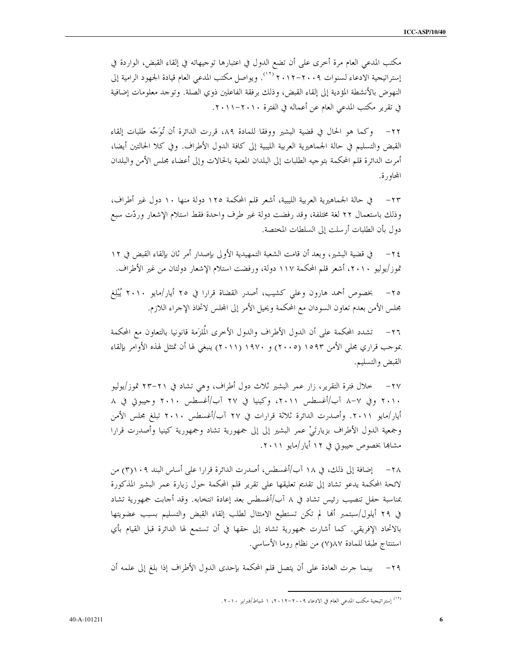6

مكتب المدعى العام مرة أخرى على أن تضع الدول في اعتبارها توجيهاته في إلقاء القبض، الواردة في إستراتيجية الادعاء لسنوات ٢٠٠٩–٢٠١٢ (<sup>١٢)</sup>. ويواصل مكتب المدعى العام قيادة الجهود الرامية إلى النهوض بالأنشطة المؤدية إلى إلقاء القبض، وذلك برفقة الفاعلين ذوي الصلة. وتوجد معلومات إضافية في تقرير مكتب المدعى العام عن أعماله في الفترة ٢٠١٠-٢٠١١.

٢٢– وكما هو الحال في قضية البشير ووفقا للمادة ٨٩، قررت الدائرة أن تُوَجَّه طلبات إلقاء القبض والتسليم في حالة الجماهيرية العربية الليبية إلى كافة الدول الأطراف. وفي كلا الحالتين أيضا، أمرت الدائرة قلم المحكمة بتوجيه الطلبات إلى البلدان المعنية بالحالات وإلى أعضاء مجلس الأمن والبلدان المحاورة.

في حالة الجماهيرية العربية الليبية، أشعر قلم المحكمة ١٢٥ دولة منها ١٠ دول غير أطراف،  $-\tau\tau$ وذلك باستعمال ٢٢ لغة مختلفة، وقد رفضت دولة غير طرف واحدة فقط استلام الإشعار وردّت سبع دول بأن الطلبات أرسلت إلى السلطات المختصة.

في قضية البشير، وبعد أن قامت الشعبة التمهيدية الأولى بإصدار أمر ثان بإلقاء القبض في ١٢  $-\tau$  { تموز/يوليو ٢٠١٠، أشعر قلم المحكمة ١١٧ دولة، ورفضت استلام الإشعار دولتان من غير الأطراف.

بخصوص أحمد هارون وعلى كشيب، أصدر القضاة قرارا في ٢٥ أيار/مايو ٢٠١٠ يُبْلِغ  $-\tau$   $\circ$ مجلس الأمن بعدم تعاون السودان مع المحكمة ويحيل الأمر إلى المجلس لاتخاذ الإحراء اللازم.

٢٦– تشدد المحكمة على أن الدول الأطراف والدول الأخرى المُلزَمة قانونيا بالتعاون مع المحكمة بموجب قراري مجلَّى الأمن ١٥٩٣ (٢٠٠٥) و ١٩٧٠ (٢٠١١) ينبغي لها أن تمتثل لهذه الأوامر بإلقاء القبض والتسليم.

خلال فترة التقرير، زار عمر البشير ثلاث دول أطراف، وهي تشاد في ٢١–٢٣ تموز/يوليو  $-\tau v$ ٢٠١٠ وفي ٧–٨ آب/أغسطس ٢٠١١، وكينيا في ٢٧ آب/أغسطس ٢٠١٠ وحيبوتي في ٨ أيار/مايو ٢٠١١. وأصدرت الدائرة ثلاثة قرارات في ٢٧ آب/أغسطس ٢٠١٠ تبلغ مجلس الأمن وجمعية الدول الأطراف بزيارتَيْ عمر البشير إلى إلى جمهورية تشاد وجمهورية كينيا وأصدرت قرارا مشاهما بخصوص حيبوتي في ١٢ أيار /مايو ٢٠١١.

إضافة إلى ذلك، في ١٨ آب/أغسطس، أصدرت الدائرة قرارا على أساس البند ٢)١٠٩) من  $-\tau \wedge$ لائحة المحكمة يدعو تشاد إلى تقديم تعليقها على تقرير قلم المحكمة حول زيارة عمر البشير المذكورة بمناسبة حفل تنصيب رئيس تشاد في ٨ آب/أغسطس بعد إعادة انتخابه. وقد أحابت جمهورية تشاد في ٢٩ أيلول/سبتمبر ألها لم تكن تستطيع الامتثال لطلب إلقاء القبض والتسليم بسبب عضويتها بالاتحاد الإفريقي. كما أشارت جمهورية تشاد إلى حقها في أن تستمع لها الدائرة قبل القيام بأي استنتاج طبقا للمادة ٧)٨٧) من نظام روما الأساسي.

٢٩– بينما جرت العادة على أن يتصل قلم المحكمة بإحدى الدول الأطراف إذا بلغ إلى علمه أن

<sup>(</sup>١٢) إستراتيجية مكتب المدعى العام في الادعاء ٢٠٠٩-٢٠١٢، ١ شباط/فيراير ٢٠١٠.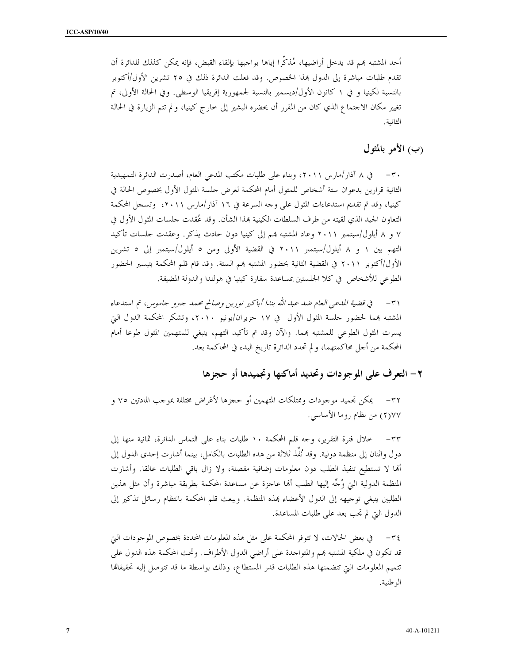أحد المشتبه هم قد يدحل أراضيها، مُذكِّرا إياها بواجبها بإلقاء القبض، فإنه يمكن كذلك للدائرة أن تقدم طلبات مباشرة إلى الدول بمذا الخصوص. وقد فعلت الدائرة ذلك في ٢٥ تشرين الأول/أكتوبر بالنسبة لكينيا و في ١ كانون الأول/ديسمبر بالنسبة لجمهورية إفريقيا الوسطى. وفي الحالة الأولى، تم تغيير مكان الاحتماع الذي كان من المقرر أن يحضره البشير إلى خارج كينيا، ولم تتم الزيارة في الحالة الثانية.

(ب) الأمر بالمثول

٣٠ – في ٨ آذار/مارس ٢٠١١، وبناء على طلبات مكتب المدعى العام، أصدرت الدائرة التمهيدية الثانية قرارين يدعوان ستة أشخاص للمثول أمام المحكمة لغرض حلسة المثول الأول بخصوص الحالة في كينيا، وقد تم تقديم استدعاءات المثول على وجه السرعة في ١٦ آذار/مارس ٢٠١١، وتسجل المحكمة التعاون الجيد الذي لقيته من طرف السلطات الكينية بمذا الشأن. وقد عُقدت حلسات المثول الأول في ٧ و ٨ أيلول/سبتمبر ٢٠١١ وعاد المشتبه بمم إلى كينيا دون حادث يذكر. وعقدت حلسات تأكيد التهم بين ١ و ٨ أيلول/سبتمبر ٢٠١١ في القضية الأولى ومن ٥ أيلول/سبتمبر إلى ٥ تشرين الأول/أكتوبر ٢٠١١ في القضية الثانية بحضور المشتبه بمم الستة. وقد قام قلم المحكمة بتيسير الحضور الطوعي للأشخاص في كلا الجلستين بمساعدة سفارة كينيا في هولندا والدولة المضيفة.

٣١ – في قضية المدعى العام ضد عبد الله بندا أباكير نورين وصالح محمد جبرو جاموس، تم استدعاء المشتبه بمما لحضور حلسة المثول الأول في ١٧ حزيران/يونيو ٢٠١٠، وتشكر المحكمة الدول التي يسرت المثول الطوعي للمشتبه بمما. والآن وقد تم تأكيد التهم، ينبغي للمتهمين المثول طوعا أمام المحكمة من أجل محاكمتهما، و لم تحدد الدائرة تاريخ البدء في المحاكمة بعد.

٢ – التعرف على الموجودات وتحديد أماكنها وتجميدها أو حجزها

٣٢– يمكن تجميد موجودات وممتلكات المتهمين أو حجزها لأغراض مختلفة بموجب المادتين ٧٥ و ٢)٧٧ من نظام روما الأساسي.

خلال فترة التقرير، وجه قلم المحكمة ١٠ طلبات بناء على التماس الدائرة، ثمانية منها إلى  $-\tau\tau$ دول واثنان إلى منظمة دولية. وقد نُفَذ ثلاثة من هذه الطلبات بالكامل، بينما أشارت إحدى الدول إلى أنما لا تستطيع تنفيذ الطلب دون معلومات إضافية مفصلة، ولا زال باقي الطلبات عالقا. وأشارت المنظمة الدولية التي وُجِّه إليها الطلب ألها عاجزة عن مساعدة المحكمة بطريقة مباشرة وأن مثل هذين الطلبين ينبغي توجيهه إلى الدول الأعضاء بمذه المنظمة. ويبعث قلم المحكمة بانتظام رسائل تذكير إلى الدول التي لم تجب بعد على طلبات المساعدة.

في بعض الحالات، لا تتوفَّر المحكمة على مثل هذه المعلومات المحددة بخصوص الموجودات التي  $-\tau$  { قد تكون في ملكية المشتبه بمم والمتواجدة على أراضي الدول الأطراف. وتحتْ المحكمة هذه الدول على تتميم المعلومات التي تتضمنها هذه الطلبات قدر المستطاع، وذلك بواسطة ما قد تتوصل إليه تحقيقاها الوطنية.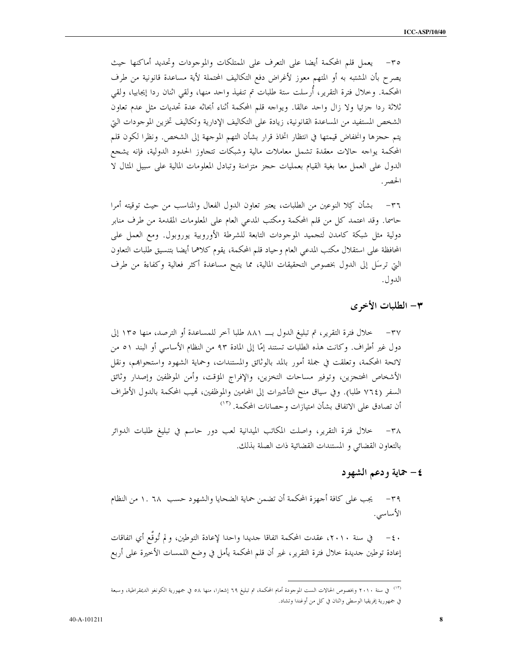٣٥– يعمل قلم المحكمة أيضا على التعرف على الممتلكات والموجودات وتحديد أماكنها حيث يصرح بأن المشتبه به أو المتهم معوز لأغراض دفع التكاليف المحتملة لأية مساعدة قانونية من طرف المحكمة. وخلال فترة التقرير، أرسلت ستة طلبات تم تنفيذ واحد منها، ولقي اثنان ردا إيجابيا، ولقي ثلاثة ردا جزئيا ولا زال واحد عالقا. ويواجه قلم المحكمة أثناء أبحاثه عدة تحديات مثل عدم تعاون الشخص المستفيد من المساعدة القانونية، زيادة على التكاليف الإدارية وتكاليف تخزين الموجودات التي يتم حجزها وانخفاض قيمتها في انتظار اتخاذ قرار بشأن التهم الموجهة إلى الشخص. ونظرا لكون قلم المحكمة يواحه حالات معقدة تشمل معاملات مالية وشبكات تتجاوز الحدود الدولية، فإنه يشجع الدول على العمل معا بغية القيام بعمليات حجز متزامنة وتبادل المعلومات المالية على سبيل المثال لا الحصر .

٣٦– بشأن كِلا النوعين من الطلبات، يعتبر تعاون الدول الفعال والمناسب من حيث توقيته أمرا حاسمًا. وقد اعتمد كلٌّ من قلم المحكمة ومكتب المدعى العام على المعلومات المقدمة من طرف منابر دولية مثل شبكة كامدن لتجميد الموجودات التابعة للشرطة الأوروبية يوروبول. ومع العمل على المحافظة على استقلال مكتب المدعى العام وحياد قلم المحكمة، يقوم كلاهما أيضا بتنسيق طلبات التعاون التي ترسَّل إلى الدول بخصوص التحقيقات المالية، مما يتيح مساعدة أكثر فعالية وكفاءة من طرف الدو ل.

#### ٣- الطلبات الأخرى

خلال فترة التقرير، تم تبليغ الدول بـــ ٨٨١ طلبا آخر للمساعدة أو الترصد، منها ١٣٥ إلى  $-\mathbf{r} \mathbf{v}$ دول غير أطراف. وكانت هذه الطلبات تستند إمَّا إلى المادة ٩٣ من النظام الأساسي أو البند ٥١ من لائحة المحكمة، وتعلقت في جملة أمور بالمد بالوثائق والمستندات، وحماية الشهود واستجوابهم، ونقل الأشخاص المحتجزين، وتوفير مساحات التخزين، والإفراج المؤقت، وأمن الموظفين وإصدار وثائق السفر (٧٦٤ طلبا). وفي سياق منح التأشيرات إلى المحامين والموظفين، قميب المحكمة بالدول الأطراف أن تصادق على الاتفاق بشأن امتيازات وحصانات المحكمة. <sup>(١٣)</sup>

خلال فترة التقرير، واصلت المكاتب الميدانية لعب دور حاسم في تبليغ طلبات الدوائر بالتعاون القضائي و المستندات القضائية ذات الصلة بذلك.

## ٤– حماية ودعم الشهود

٣٩ – يجب على كافة أحهزة المحكمة أن تضمن حماية الضحايا والشهود حسب ١. ٦٨ من النظام الأساسى.

إعادة توطين حديدة حلال فترة التقرير، غير أن قلم المحكمة يأمل في وضع اللمسات الأخيرة على أربع

<sup>&</sup>lt;sup>(١٣)</sup> في سنة ٢٠١٠ وبخصوص الحالات الست الموحودة أمام المحكمة، تم تبليغ ٦٩ إشعارا، منها ٥٨ في جمهورية الكونغو الديمقراطية، وسبعة في جمهورية إفريقيا الوسطى واثنان في كل من أوغندا وتشاد.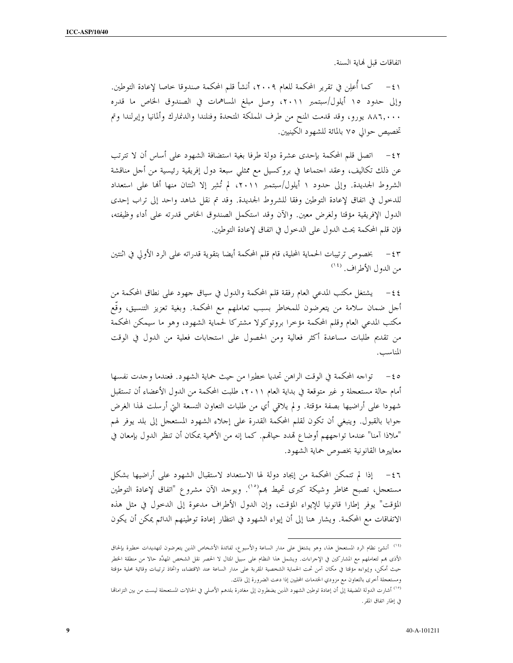اتفاقات قبل لهاية السنة.

٤١ – كما أُعلِن في تقرير المحكمة للعام ٢٠٠٩، أنشأ قلم المحكمة صندوقا حاصا لإعادة التوطين. وإلى حدود ١٥ أيلول/سبتمبر ٢٠١١، وصل مبلغ المساهمات في الصندوق الخاص ما قدره ٨٨٦,٠٠٠ يورو، وقد قدمت المنح من طرف المملكة المتحدة وفنلندا والدنمارك وألمانيا وإيرلندا وتم تخصيص حوالي ٧٥ بالمائة للشهود الكينيين.

٤٢ – اتصل قلم المحكمة بإحدى عشرة دولة طرفا بغية استضافة الشهود على أساس أن لا تترتب عن ذلك تكاليف، وعقد احتماعا في بروكسيل مع ممثلي سبعة دول إفريقية رئيسية من أحل مناقشة الشروط الجديدة. وإلى حدود ١ أيلول/سبتمبر ٢٠١١، لم تُشرِ إلا اثنتان منها ألها على استعداد للدخول في اتفاق لإعادة التوطين وفقا للشروط الجديدة. وقد تم نقل شاهد واحد إلى تراب إحدى الدول الإفريقية مؤقتا ولغرض معين. والآن وقد استكمل الصندوق الخاص قدرته على أداء وظيفته، فإن قلم المحكمة يحث الدول على الدخول في اتفاق لإعادة التوطين.

بخصوص ترتيبات الحماية المحلية، قام قلم المحكمة أيضا بتقوية قدراته على الرد الأولى في اثنتين  $-\epsilon r$ من الدول الأطراف. <sup>(١٤</sup>)

يشتغل مكتب المدعى العام رفقة قلم المحكمة والدول في سياق جهود على نطاق المحكمة من  $-\xi$   $\xi$ أحل ضمان سلامة من يتعرضون للمخاطر بسبب تعاملهم مع المحكمة. وبغية تعزيز التنسيق، وقَع مكتب المدعى العام وقلم المحكمة مؤخرا بروتوكولا مشتركا لحماية الشهود، وهو ما سيمكن المحكمة من تقديم طلبات مساعدة أكثر فعالية ومن الحصول على استجابات فعلية من الدول في الوقت المناسب.

0 ٤- تواجه المحكمة في الوقت الراهن تحديا خطيرا من حيث حماية الشهود. فعندما وجدت نفسها أمام حالة مستعجلة و غير متوقعة في بداية العام ٢٠١١، طلبت المحكمة من الدول الأعضاء أن تستقبل شهودا على أراضيها بصفة مؤقتة. و لم يلاقي أي من طلبات التعاون التسعة التي أرسلت لهذا الغرض جوابا بالقبول. وينبغي أن تكون لقلم المحكمة القدرة على إجلاء الشهود المستعجل إلى بلد يوفر لهم "ملاذا آمنا" عندما تواجههم أوضاع قمدد حياقمم. كما إنه من الأهمية بمكان أن تنظر الدول بإمعان في معاييرها القانونية بخصوص حماية الشهود.

٤٦ - إذا لم تتمكن المحكمة من إيجاد دولة لها الاستعداد لاستقبال الشهود على أراضيها بشكل مستعجل، تصبح مخاطر وشيكة كبرى تحيط بمم<sup>(١٠</sup>). ويوجد الآن مشروع "اتفاق لإعادة التوطين المؤقت" يوفر إطارا قانونيا للإيواء المؤقت، وإن الدول الأطراف مدعوة إلى الدخول في مثل هذه الاتفاقات مع المحكمة. ويشار هنا إلى أن إيواء الشهود في انتظار إعادة توطينهم الدائم يمكن أن يكون

<sup>&</sup>lt;sup>01)</sup> أنشئ نظام الرد المستعجل هذا، وهو يشتغل على مدار الساعة والأسبوع، لفائدة الأشخاص الذين يتعرضون لتهديدات خطيرة بإلحاق الأذى بمم لتعاملهم مع المشاركين في الإجراءات. ويشمل هذا النظام على سبيل المثال لا الحصر نقل الشخص المهدَّد حالا من منطقة الخطر حيث أمكن، وإيواءه مؤقتا في مكان آمن تحت الحماية الشخصية المقربة على مدار الساعة عند الاقتضاء، واتخاذ ترتيبات وقائية محلية مؤقتة ومستعجلة أخرى بالتعاون مع مزودي الخدمات المحليين إذا دعت الضرورة إلى ذلك.

<sup>&</sup>lt;sup>د٠)</sup> أشارت الدولة المضيفة إلى أن إعادة توطين الشهود الذين يضطرون إلى مغادرة بلدهم الأصلي في الحالات المستعجلة ليست من بين التزاماتما في إطار اتفاق المقر .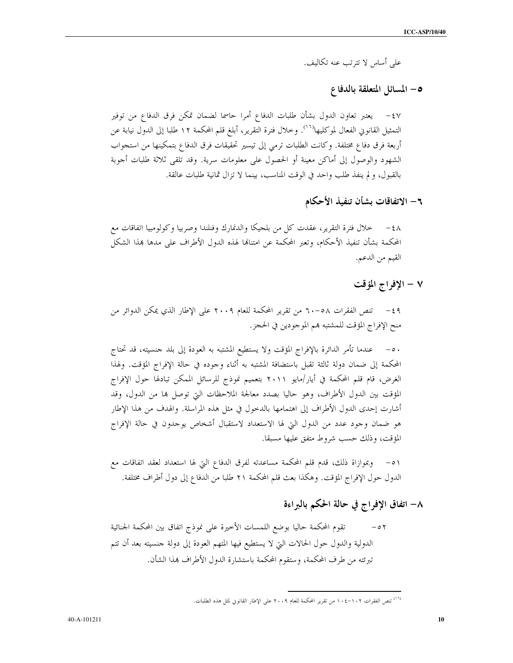على أساس لا تترتب عنه تكاليف.

## 0- المسائل المتعلقة بالدفاع

يعتبر تعاون الدول بشأن طلبات الدفاع أمرا حاسما لضمان تمكن فرق الدفاع من توفير  $-\xi V$ التمثيل القانوين الفعال لموكليها''''. وخلال فترة التقرير، أبلغ قلم المحكمة ١٢ طلبا إلى الدول نيابة عن أربعة فرق دفاع مختلفة. وكانت الطلبات ترمي إلى تيسير تحقيقات فرق الدفاع بتمكينها من استجواب الشهود والوصول إلى أماكن معينة أو الحصول على معلومات سرية. وقد تلقى ثلاثة طلبات أجوبة بالقبول، ولم ينفذ طلب واحد في الوقت المناسب، بينما لا تزال ثمانية طلبات عالقة.

٦ – الاتفاقات بشأن تنفيذ الأحكام

٤٨ – خلال فترة التقرير، عقدت كلَّ من بلجيكا والدنمارك وفنلندا وصربيا وكولومبيا اتفاقات مع المحكمة بشأن تنفيذ الأحكام، وتعبر المحكمة عن امتنالها لهذه الدول الأطراف على مدها بمذا الشكل القيم من الدعم.

#### ٧ - الإفراج المؤقت

٤٩ - تنص الفقرات ٥٨-٦٠ من تقرير المحكمة للعام ٢٠٠٩ على الإطار الذي يمكن الدوائر من منح الإفراج المؤقت للمشتبه بمم الموحودين في الحجز.

٥٠ – عندما تأمر الدائرة بالإفراج المؤقت ولا يستطيع المشتبه به العودة إلى بلد جنسيته، قد تحتاج المحكمة إلى ضمان دولة ثالثة تقبل باستضافة المشتبه به أثناء وجوده في حالة الإفراج المؤقت. ولهذا الغرض، قام قلم المحكمة في أيار/مايو ٢٠١١ بتعميم نموذج للرسائل الممكن تبادلها حول الإفراج المؤقت بين الدول الأطراف، وهو حاليا بصدد معالجة الملاحظات التي توصل بما من الدول، وقد أشارت إحدى الدول الأطراف إلى اهتمامها بالدحول في مثل هذه المراسلة. والهدف من هذا الإطار هو ضمان وجود عدد من الدول التي لها الاستعداد لاستقبال أشخاص يوجدون في حالة الإفراج المؤقت، وذلك حسب شروط متفق عليها مسبقا.

٥١ – وبموازاة ذلك، قدم قلم المحكمة مساعدته لفرق الدفاع التي لها استعداد لعقد اتفاقات مع الدول حول الإفراج المؤقت. وهكذا بعث قلم المحكمة ٢١ طلبا من الدفاع إلى دول أطراف مختلفة.

## ٨– اتفاق الإفراج في حالة الحكم بالبراءة

تقوم المحكمة حاليا بوضع اللمسات الأخيرة على نموذج اتفاق بين المحكمة الجنائية  $- \circ 7$ الدولية والدول حول الحالات التي لا يستطيع فيها المتهم العودة إلى دولة جنسيته بعد أن تتم تبرئته من طرف المحكمة، وستقوم المحكمة باستشارة الدول الأطراف بمذا الشأن.

<sup>...&</sup>lt;br>(<sup>١٦)</sup> تنص الفقرات ١٠٢–١٠٤ من تقرير المحكمة للعام ٢٠٠٩ على الإطار القانوني لمثل هذه الطلبات.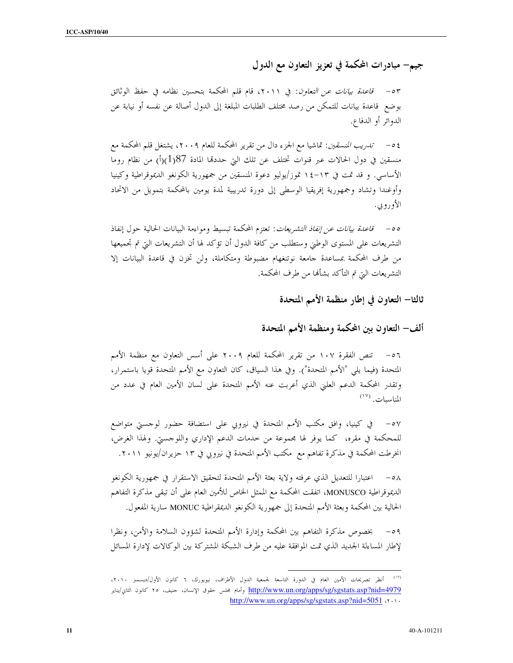جيم– مبادرات المحكمة في تعزيز التعاون مع الدول

٥٣ - ق*اعدة بيانات عن التعاون*: في ٢٠١١، قام قلم المحكمة بتحسين نظامه في حفظ الوثائق بوضع ٍ قاعدة بيانات للتمكن من رصد مختلف الطلبات المبلغة إلى الدول أصالة عن نفسه أو نيابة عن الدوائر أو الدفاع.

٤٥– *تدريب المنسقين*: تماشيا مع الجزء دال من تقرير المحكمة للعام ٢٠٠٩، يشتغل قلم المحكمة مع منسقين في دول الحالات عبر قنوات تختلف عن تلك التي حددقما المادة 187(1)(أ) من نظام روما الأساسي. و قد تمت في ١٣-١٤ تموز/يوليو دعوة المنسقين من جمهورية الكونغو الديموقراطية وكينيا وأوغندا وتشاد وجمهورية إفريقيا الوسطى إلى دورة تدريبية لمدة يومين بالمحكمة بتمويل من الاتحاد الأوروبي.

00 – ق*اعدة بيانات عن إنفاذ التشريعات*: تعتزم المحكمة تبسيط ومواءمة البيانات الحالية حول إنفاذ التشريعات على المستوى الوطني وستطلب من كافة الدول أن تؤكد لها أن التشريعات التي تم تجميعها من طرف المحكمة بمساعدة حامعة نوتنغهام مضبوطة ومتكاملة، ولن تخزن في قاعدة البيانات إلا التشريعات التي تم التأكد بشألها من طرف المحكمة.

ثالثا– التعاون في إطار منظمة الأمم المتحدة

ألف– التعاون ببن المحكمة ومنظمة الأمم المتحدة

٥٦ – تنص الفقرة ١٠٧ من تقرير المحكمة للعام ٢٠٠٩ على أسس التعاون مع منظمة الأمم المتحدة (فيما يلي "الأمم المتحدة"). وفي هذا السياق، كان التعاون مع الأمم المتحدة قويا باستمرار، وتقدر المحكمة الدعم العلني الذي أعربت عنه الأمم المتحدة على لسان الأمين العام في عدد من  $(19)$   $11$ 

للمحكمة في مقره، كما يوفر لها مجموعة من حدمات الدعم الإداري واللوجستي. ولهذا الغرض، انخرطت المحكمة في مذكرة تفاهم مع مكتب الأمم المتحدة في نيروبي في ١٣ حزيران/يونيو ٢٠١١.

٥٨ – اعتبارا للتعديل الذي عرفته ولاية بعثة الأمم المتحدة لتحقيق الاستقرار في جمهورية الكونغو الديموقراطية MONUSCO، اتفقت المحكمة مع الممثل الحاص للأمين العام على أن تبقى مذكرة التفاهم الحالية بين المحكمة وبعثة الأمم المتحدة إلى جمهورية الكونغو الديمقراطية MONUC سارية المفعول.

٥٩ – بخصوص مذكرة التفاهم بين المحكمة وإدارة الأمم المتحدة لشؤون السلامة والأمن، ونظرا لإطار المساءلة الجديد الذي تمت الموافقة عليه من طرف الشبكة المشتركة بين الوكالات لإدارة المسائل

<sup>&</sup>lt;sup>(١٧)</sup> أنظر تصريحات الأمين العام في الدورة التاسعة لجمعية الدول الأطراف، نيويورك، ٦ كانون الأول/ديسمبر ٢٠١٠، http://www.un.org/apps/sg/sgstats.asp?nid=4979 وأمام بحلس حقوق الإنسان، حنيف، ٢٥ كانون الثاني/يناير http://www.un.org/apps/sg/sgstats.asp?nid=5051  $\cdots$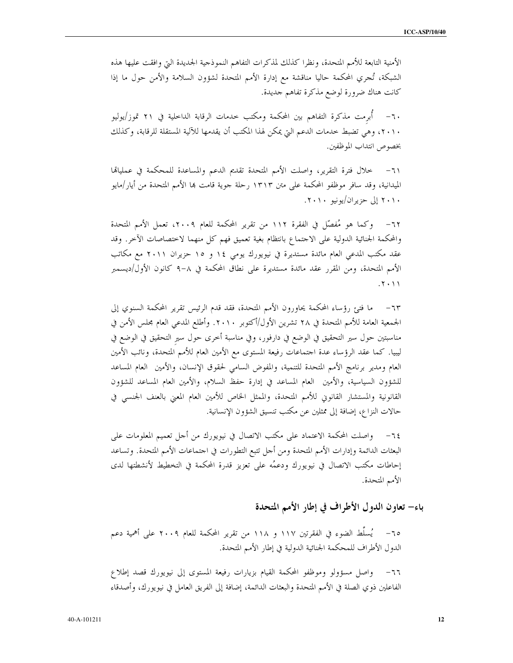الأمنية التابعة للأمم المتحدة، ونظرًا كذلك لمذكرات التفاهم النموذجية الجديدة التيّ وافقت عليها هذه الشبكة، تُجري المحكمة حاليا مناقشة مع إدارة الأمم المتحدة لشؤون السلامة والأمن حول ما إذا كانت هناك ضرورة لوضع مذكرة تفاهم حديدة.

٦٠– أبرمت مذكرة التفاهم بين المحكمة ومكتب حدمات الرقابة الداخلية في ٢١ تموز/يوليو ٢٠١٠، وهي تضبط حدمات الدعم التي يمكن لهذا المكتب أن يقدمها للآلية المستقلة للرقابة، وكذلك بخصوص انتداب الموظفين.

خلال فترة التقرير، واصلت الأمم المتحدة تقديم الدعم والمساعدة للمحكمة في عمليالها  $-71$ الميدانية، وقد سافر موظفو المحكمة على متن ١٣١٣ رحلة جوية قامت هِا الأمم المتحدة من أيار/مايو ۲۰۱۰ إلى حزيران/يونيو ۲۰۱۰.

وكما هو مُفصِّل في الفقرة ١١٢ من تقرير المحكمة للعام ٢٠٠٩، تعمل الأمم المتحدة  $-77$ والمحكمة الجنائية الدولية على الاحتماع بانتظام بغية تعميق فهم كل منهما لاختصاصات الآخر. وقد عقد مكتب المدعى العام مائدة مستديرة في نيويورك يومي ١٤ و ١٥ حزيران ٢٠١١ مع مكاتب الأمم المتحدة، ومن المقرر عقد مائدة مستديرة على نطاق المحكمة في ٨–٩ كانون الأول/ديسمبر  $X \cdot Y$ 

ما فتئ رؤساء المحكمة يحاورون الأمم المتحدة، فقد قدم الرئيس تقرير المحكمة السنوي إلى  $-77$ الجمعية العامة للأمم المتحدة في ٢٨ تشرين الأول/أكتوبر ٢٠١٠. وأطلع المدعي العام مجلس الأمن في مناسبتين حول سير التحقيق في الوضع في دارفور، وفي مناسبة أخرى حول سير التحقيق في الوضع في ليبيا. كما عقد الرؤساء عدة اجتماعات رفيعة المستوى مع الأمين العام للأمم المتحدة، ونائب الأمين العام ومدير برنامج الأمم المتحدة للتنمية، والمفوض السامي لحقوق الإنسان، والأمين العام المساعد للشؤون السياسية، والأمين العام المساعد في إدارة حفظ السلام، والأمين العام المساعد للشؤون القانونية والمستشار القانوني للأمم المتحدة، والممثل الخاص للأمين العام المعنى بالعنف الجنسي في حالات النزاع، إضافة إلى ممثلين عن مكتب تنسيق الشؤون الإنسانية.

واصلت المحكمة الاعتماد على مكتب الاتصال في نيويورك من أحل تعميم المعلومات على  $-72$ البعثات الدائمة وإدارات الأمم المتحدة ومن أحل تتبع التطورات في احتماعات الأمم المتحدة. وتساعد إحاطات مكتب الاتصال في نيويورك ودعمُه على تعزيز قدرة المحكمة في التخطيط لأنشطتها لدى الأمم المتحدة.

باء– تعاون الدول الأطراف في إطار الأمم المتحدة

٦٥– يُسلَّط الضوء في الفقرتين ١١٧ و ١١٨ من تقرير المحكمة للعام ٢٠٠٩ على أهمية دعم الدول الأطراف للمحكمة الجنائية الدولية في إطار الأمم المتحدة.

واصل مسؤولو وموظفو المحكمة القيام بزيارات رفيعة المستوى إلى نيويورك قصد إطلاع الفاعلين ذوي الصلة في الأمم المتحدة والبعثات الدائمة، إضافة إلى الفريق العامل في نيويورك، وأصدقاء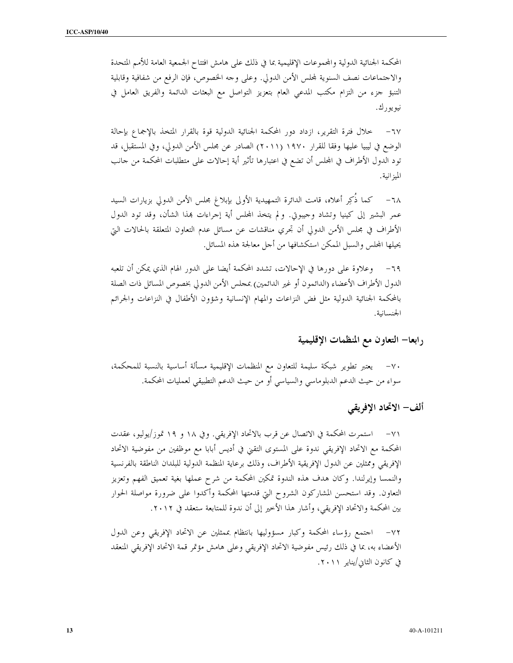المحكمة الجنائية الدولية والمحموعات الإقليمية بما في ذلك على هامش افتتاح الجمعية العامة للأمم المتحدة والاحتماعات نصف السنوية لمحلس الأمن الدولي. وعلى وحه الخصوص، فإن الرفع من شفافية وقابلية التنبؤ حزء من التزام مكتب المدعى العام بتعزيز التواصل مع البعثات الدائمة والفريق العامل في نيو يو ر ك .

 $-7V$ خلال فترة التقرير، ازداد دور المحكمة الجنائية الدولية قوة بالقرار المتخذ بالإجماع بإحالة الوضع في ليبيا عليها وفقا للقرار ١٩٧٠ (٢٠١١) الصادر عن مجلس الأمن الدولي، وفي المستقبل، قد تود الدول الأطراف في المجلس أن تضع في اعتبارها تأثير أية إحالات على متطلبات المحكمة من حانب الميز انية.

٦٨− كما ذُكِر أعلاه، قامت الدائرة التمهيدية الأولى بإبلاغ مجلس الأمن الدولي بزيارات السيد عمر البشير إلى كينيا وتشاد وحيبوتي. ولم يتخذ المجلس أية إجراءات بمذا الشأن، وقد تود الدول الأطراف في مجلس الأمن الدولي أن تجري مناقشات عن مسائل عدم التعاون المتعلقة بالحالات التي يحيلها المحلس والسبل الممكن استكشافها من أحل معالجة هذه المسائل.

وعلاوة على دورها في الإحالات، تشدد المحكمة أيضا على الدور الهام الذي يمكن أن تلعبه  $-79$ الدول الأطراف الأعضاء (الدائمون أو غير الدائمين) عجلس الأمن الدولي بخصوص المسائل ذات الصلة بالمحكمة الجنائية الدولية مثل فض النزاعات والمهام الإنسانية وشؤون الأطفال في النزاعات والجرائم الجنسانية.

رابعا– التعاون مع المنظمات الإقليمية

٧٠– يعتبر تطوير شبكة سليمة للتعاون مع المنظمات الإقليمية مسألة أساسية بالنسبة للمحكمة، سواء من حيث الدعم الدبلوماسي والسياسي أو من حيث الدعم التطبيقي لعمليات المحكمة.

ألف– الاتحاد الإفريقي

٧١– استمرت المحكمة في الاتصال عن قرب بالاتحاد الإفريقي. وفي ١٨ و ١٩ تموز/يوليو، عقدت المحكمة مع الاتحاد الإفريقي ندوة على المستوى التقني في أديس أبابا مع موظفين من مفوضية الاتحاد الإفريقي وممثلين عن الدول الإفريقية الأطراف، وذلك برعاية المنظمة الدولية للبلدان الناطقة بالفرنسية والنمسا وإيرلندا. وكان هدف هذه الندوة تمكين المحكمة من شرح عملها بغية تعميق الفهم وتعزيز التعاون. وقد استحسن المشاركون الشروح التي قدمتها المحكمة وأكدوا على ضرورة مواصلة الحوار بين المحكمة والاتحاد الإفريقي، وأشار هذا الأخير إلى أن ندوة للمتابعة ستعقد في ٢٠١٢.

٧٢– احتمع رؤساء المحكمة وكبار مسؤوليها بانتظام بممثلين عن الاتحاد الإفريقي وعن الدول الأعضاء به، بما في ذلك رئيس مفوضية الاتحاد الإفريقي وعلى هامش مؤتمر قمة الاتحاد الإفريقي المنعقد في كانون الثاني/يناير ٢٠١١.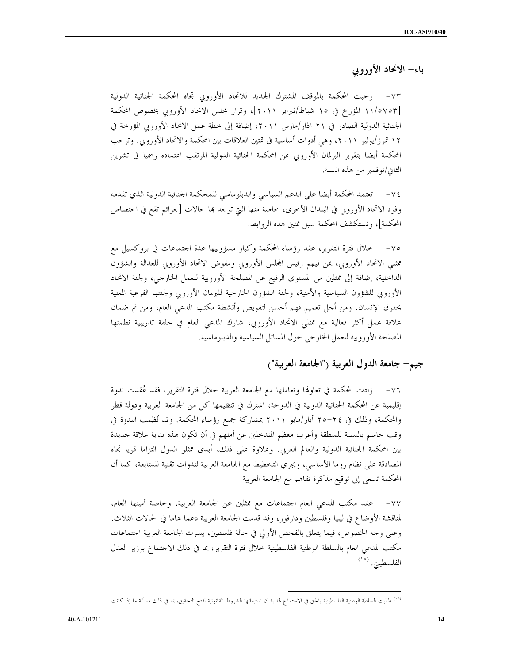# باء– الاتحاد الأوروبي

٧٣– رحبت المحكمة بالموقف المشترك الجديد للاتحاد الأوروبي تجاه المحكمة الجنائية الدولية [١١/٥٧٥٣ المؤرخ في ١٥ شباط/فبراير ٢٠١١]، وقرار مجلس الاتحاد الأوروبي بخصوص المحكمة الجنائية الدولية الصادر في ٢١ آذار/مارس ٢٠١١، إضافة إلى خطة عمل الاتحاد الأوروبي المؤرخة في ١٢ تموز/يوليو ٢٠١١، وهي أدوات أساسية في تمتين العلاقات بين المحكمة والاتحاد الأوروبي. وترحب المحكمة أيضا بتقرير البرلمان الأوروبي عن المحكمة الجنائية الدولية المرتقب اعتماده رسميا في تشرين الثاني/نوفمبر من هذه السنة.

٧٤– تعتمد المحكمة أيضا على الدعم السياسي والدبلوماسي للمحكمة الجنائية الدولية الذي تقدمه وفود الاتحاد الأوروبي في البلدان الأخرى، خاصة منها التي توجد ها حالات [جرائم تقع في اختصاص المحكمة]، وتستكشف المحكمة سبل تمتين هذه الروابط.

٧٥– خلال فترة التقرير، عقد رؤساء المحكمة وكبار مسؤوليها عدة احتماعات في بروكسيل مع ممثلي الاتحاد الأوروبي، بمن فيهم رئيس المجلس الأوروبي ومفوض الاتحاد الأوروبي للعدالة والشؤون الداخلية، إضافة إلى ممثلين من المستوى الرفيع عن المصلحة الأوروبية للعمل الخارجي، ولجنة الاتحاد الأوروبي للشؤون السياسية والأمنية، ولجنة الشؤون الخارجية للبرلمان الأوروبي ولجنتها الفرعية المعنية بحقوق الإنسان. ومن أحل تعميم فهم أحسن لتفويض وأنشطة مكتب المدعى العام، ومن ثم ضمان علاقة عمل أكثر فعالية مع ممثلي الاتحاد الأوروبي، شارك المدعى العام في حلقة تدريبية نظمتها المصلحة الأوروبية للعمل الخارجي حول المسائل السياسية والدبلوماسية.

#### جيم— جامعة الدول العربية ("الجامعة العربية")

٧٦– زادت المحكمة في تعاولها وتعاملها مع الجامعة العربية خلال فترة التقرير، فقد عُقدت ندوة إقليمية عن المحكمة الجنائية الدولية في الدوحة، اشترك في تنظيمها كل من الجامعة العربية ودولة قطر والمحكمة، وذلك في ٢٤–٢٥ أيار/مايو ٢٠١١ بمشاركة جميع رؤساء المحكمة. وقد نُظمت الندوة في وقت حاسم بالنسبة للمنطقة وأعرب معظم المتدحلين عن أملهم في أن تكون هذه بداية علاقة جديدة بين المحكمة الجنائية الدولية والعالم العربي. وعلاوة على ذلك، أبدى ممثلو الدول التزاما قويا تجاه المصادقة على نظام روما الأساسي، ويجري التخطيط مع الجامعة العربية لندوات تقنية للمتابعة، كما أن المحكمة تسعى إلى توقيع مذكرة تفاهم مع الجامعة العربية.

عقد مكتب المدعى العام اجتماعات مع ممثلين عن الجامعة العربية، وخاصة أمينها العام،  $-\sqrt{v}$ لمناقشة الأوضاع في ليبيا وفلسطين ودارفور، وقد قدمت الجامعة العربية دعما هاما في الحالات الثلاث. وعلى وجه الخصوص، فيما يتعلق بالفحص الأولى في حالة فلسطين، يسرت الجامعة العربية احتماعات مكتب المدعى العام بالسلطة الوطنية الفلسطينية حلال فترة التقرير، بما في ذلك الاحتماع بوزير العدل الفلسطيني. (١٨)

<sup>&</sup>lt;sup>(١٨)</sup> طالبت السلطة الوطنية الفلسطينية بالحق في الاستماع لها بشأن استيفائها الشروط القانونية لفتح التحقيق، بما في ذلك مسألة ما إذا كانت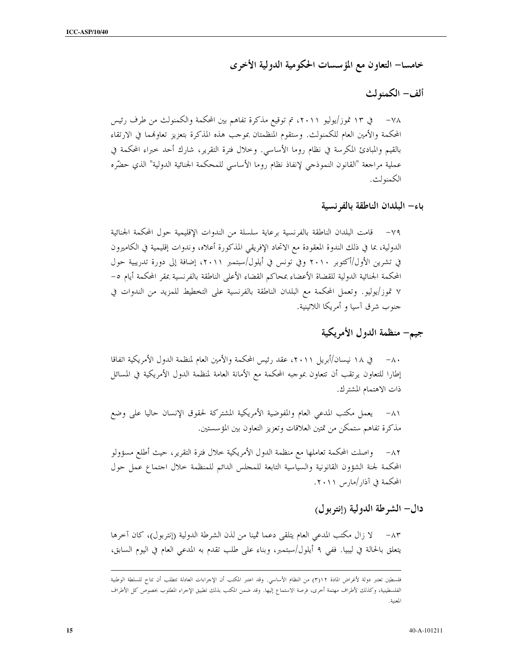خامسا— التعاون مع المؤ سسات الحكومية الدولية الأخرى

ألف– الكمنولث

٧٨ – في ١٣ تموز/يوليو ٢٠١١، تم توقيع مذكرة تفاهم بين المحكمة والكمنولث من طرف رئيس المحكمة والأمين العام للكمنولث. وستقوم المنظمتان بموحب هذه المذكرة بتعزيز تعاولهما في الارتقاء بالقيم والمبادئ المكرسة في نظام روما الأساسي. وخلال فترة التقرير، شارك أحد حبراء المحكمة في عملية مراجعة "القانون النموذجي لإنفاذ نظام روما الأساسي للمحكمة الجنائية الدولية" الذي حضّره الكمنولث.

باء– البلدان الناطقة بالفرنسية

٧٩– قامت البلدان الناطقة بالفرنسية برعاية سلسلة من الندوات الإقليمية حول المحكمة الجنائية الدولية، بما في ذلك الندوة المعقودة مع الاتحاد الإفريقي المذكورة أعلاه، وندوات إقليمية في الكاميرون في تشرين الأول/أكتوبر ٢٠١٠ وفي تونس في أيلول/سبتمبر ٢٠١١، إضافة إلى دورة تدريبية حول المحكمة الجنائية الدولية للقضاة الأعضاء بمحاكم القضاء الأعلى الناطقة بالفرنسية بمقر المحكمة أيام ٥– ٧ تموز/يوليو. وتعمل المحكمة مع البلدان الناطقة بالفرنسية على التخطيط للمزيد من الندوات في حنوب شرق آسيا و أمريكا اللاتينية.

جيم– منظمة الدول الأمريكية

في ١٨ نيسان/أبريل ٢٠١١، عقد رئيس المحكمة والأمين العام لمنظمة الدول الأمريكية اتفاقا  $-\wedge$ . إطارا للتعاون يرتقب أن تتعاون بموجبه المحكمة مع الأمانة العامة لمنظمة الدول الأمريكية في المسائل ذات الاهتمام المشترك.

٨١– يعمل مكتب المدعى العام والمفوضية الأمريكية المشتركة لحقوق الإنسان حاليا على وضع مذكرة تفاهم ستمكن من تمتين العلاقات وتعزيز التعاون بين المؤسستين.

٨٢– واصلت المحكمة تعاملها مع منظمة الدول الأمريكية خلال فترة التقرير، حيث أطلع مسؤولو المحكمة لجنة الشؤون القانونية والسياسية التابعة للمحلس الدائم للمنظمة حلال احتماع عمل حول المحكمة في آذار /مارس ٢٠١١.

دال– الشرطة الدولية (إنتربول)

لا زال مكتب المدعى العام يتلقى دعما ثمينا من لذن الشرطة الدولية (إنتربول)، كان آخرها  $-\Lambda \tau$ يتعلق بالحالة في ليبيا. ففي ٩ أيلول/سبتمبر، وبناء على طلب تقدم به المدعى العام في اليوم السابق،

فلسطين تعتبر دولة لأغراض المادة ٢(٣) من النظام الأساسي. وقد اعتبر المكتب أن الإحراءات العادلة تتطلب أن تتاح للسلطة الوطنية الفلسطينية، وكذلك لأطراف مهتمة أخرى، فرصة الاستماع إليها. وقد ضمن المكتب بذلك تطبيق الإحراء المطلوب بخصوص كل الأطراف المعنية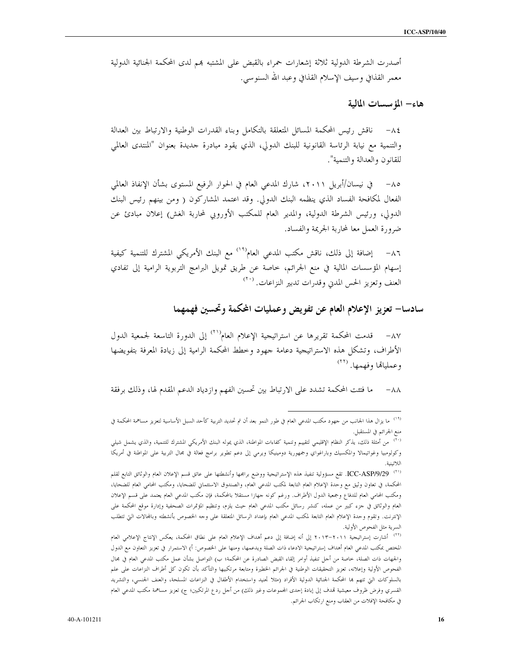أصدرت الشرطة الدولية ثلاثة إشعارات حمراء بالقبض على المشتبه بمم لدى المحكمة الجنائية الدولية معمر القذافي وسيف الإسلام القذافي وعبد الله السنوسي.

هاء– المؤسسات المالية

ناقش رئيس المحكمة المسائل المتعلقة بالتكامل وبناء القدرات الوطنية والارتباط بين العدالة  $-\lambda \xi$ والتنمية مع نيابة الرئاسة القانونية للبنك الدولى، الذي يقود مبادرة حديدة بعنوان "المنتدى العالمي للقانون والعدالة والتنمية".

في نيسان/أبريل ٢٠١١، شارك المدعى العام في الحوار الرفيع المستوى بشأن الإنفاذ العالمي  $-\wedge$   $\circ$ الفعال لمكافحة الفساد الذي ينظمه البنك الدولي. وقد اعتمد المشاركون ( ومن بينهم رئيس البنك الدولي، ورئيس الشرطة الدولية، والمدير العام للمكتب الأوروبي لمحاربة الغش) إعلان مبادئ عن ضرورة العمل معا لمحاربة الجريمة والفساد.

إضافة إلى ذلك، ناقش مكتب المدعى العام<sup>(١٩)</sup> مع البنك الأمريكي المشترك للتنمية كيفية  $-\lambda$ ٦ إسهام المؤسسات المالية في منع الجرائم، خاصة عن طريق تمويل البرامج التربوية الرامية إلى تفادي العنف وتعزيز الحس المدني وقدرات تدبير النزاعات. <sup>(٢٠)</sup>

سادسا– تعزيز الإعلام العام عن تفويض وعمليات المحكمة وتحسين فهمهما

٨٧– قدمت المحكمة تقريرها عن استراتيجية الإعلام العام``` إلى الدورة التاسعة لجمعية الدول الأطراف، وتشكل هذه الاستراتيجية دعامة جهود وخطط المحكمة الرامية إلى زيادة المعرفة بتفويضها وعمليالها وفهمها. (\*\*)

ما فتئت المحكمة تشدد على الارتباط بين تحسين الفهم وازدياد الدعم المقدم لها، وذلك برفقة  $-\lambda\lambda$ 

<sup>&</sup>lt;sup>(١٩)</sup> ما يزال هذا الجانب من جهود مكتب المدعى العام في طور النمو بعد أن تم تحديد التربية كأحد السبل الأساسية لتعزيز مساهمة المحكمة في منع الجرائم في المستقبل.

<sup>&</sup>lt;sup>٢٠)</sup> من أمثلة ذلك، يذكر النظام الإقليمي لتقييم وتنمية كفاءات المواطنة، الذي يموله البنك الأمريكي المشترك للتنمية، والذي يشمل شيلي وكولومبيا وغواتيمالا والمكسيك وباراغواي وجمهورية دومينيكا ويرمي إلى دعم تطوير برامج فعالة في مجال التربية على المواطنة في أمريكا اللاتينية.

<sup>&</sup>lt;sup>(٢١)</sup> ICC-ASP/9/29. تقع مسؤولية تنفيذ هذه الإستراتيجية ووضع برامجها وأنشطتها على عاتق قسم الإعلان العام والوثائق التابع لقلم المحكمة، في تعاون وثيق مع وحدة الإعلام العام التابعة لمكتب المدعى العام، والصندوق الاستئماني للضحايا، ومكتب المحامى العام للضحايا، ومكتب المحامي العام للدفاع وجمعية الدول الأطراف. ورغم كونه حهازا مستقلا بالمحكمة، فإن مكتب المدعي العام يعتمد على قسم الإعلان العام والوثائق في جزء كبير من عمله، كنشر رسائل مكتب المدعى العام حيث يلزم، وتنظيم المؤتمرات الصحفية وإدارة موقع المحكمة على الإنترنت. وتقوم وحدة الإعلام العام التابعة لمكتب المدعي العام بإعداد الرسائل المتعلقة على وحه الخصوص بأنشطته وبالمحالات التي تتطلب السرية مثل الفحوص الأولية.

<sup>&</sup>lt;sup>(٢٢)</sup> أشارت إستراتيجية ٢٠١١–٢٠١٢ إلى أنه إضافة إلى دعم أهداف الإعلام العام على نطاق المحكمة، يعكس الإنتاج الإعلامي العام المختص بمكتب المدعي العام أهداف إستراتيجية الادعاء ذات الصلة ويدعمها، ومنها على الخصوص: أ) الاستمرار في تعزيز التعاون مع الدول والجهات ذات الصلة، خاصة من أجل تنفيذ أوامر إلقاء القبض الصادرة عن المحكمة؛ ب) التواصل بشأن عمل مكتب المدعى العام في مجال الفحوص الأولية وإعلانه، تعزيز التحقيقات الوطنية في الجرائم الخطيرة ومتابعة مرتكبيها والتأكد بأن تكون كل أطراف النزاعات على علم بالسلوكات التي تتهم بما المحكمة الجنائية الدولية الأفراد (مثلا تجنيد واستخدام الأطفال في النزاعات المسلحة، والعنف الجنسي، والتشريد القسري وفرض ظروف معيشية تمدف إلى إبادة إحدى المجموعات وغير ذلك) من أحل ردع المرتكبين؛ ج) تعزيز مساهمة مكتب المدعي العام في مكافحة الإفلات من العقاب ومنع ارتكاب الجرائم.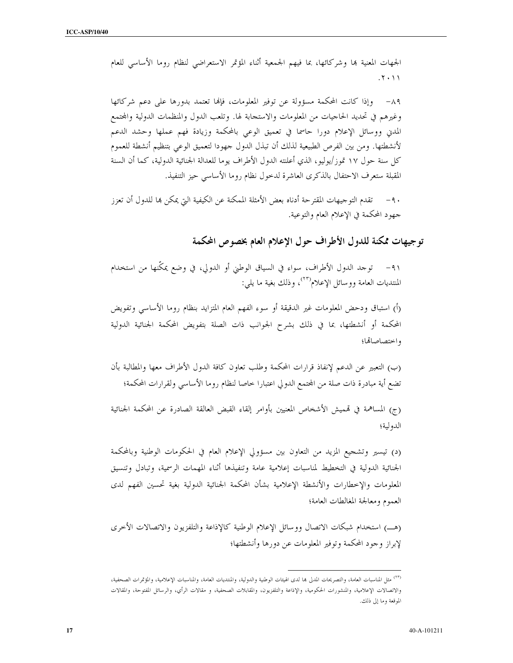الجهات المعنية بما وشركائها، بما فيهم الجمعية أثناء المؤتمر الاستعراضي لنظام روما الأساسي للعام  $.7.11$ 

وإذا كانت المحكمة مسؤولة عن توفير المعلومات، فإلها تعتمد بدورها على دعم شركائها  $-\lambda$ 9 وغيرهم في تحديد الحاجيات من المعلومات والاستجابة لها. وتلعب الدول والمنظمات الدولية والمحتمع المدني ووسائل الإعلام دورا حاسما في تعميق الوعي بالمحكمة وزيادة فهم عملها وحشد الدعم لأنشطتها. ومن بين الفرص الطبيعية لذلك أن تبذل الدول جهودا لتعميق الوعي بتنظيم أنشطة للعموم كلِّ سنة حول ١٧ تموز/يوليو، الذي أعلنته الدول الأطراف يوما للعدالة الجنائية الدولية، كما أن السنة المقبلة ستعرف الاحتفال بالذكرى العاشرة لدخول نظام روما الأساسى حيز التنفيذ.

٩٠ – تقدم التوجيهات المقترحة أدناه بعض الأمثلة الممكنة عن الكيفية التي يمكن بما للدول أن تعزز جهود المحكمة في الإعلام العام والتوعية.

# توجيهات ممكنة للدول الأطراف حول الإعلام العام بخصوص المحكمة

٩١- توحد الدول الأطراف، سواء في السياق الوطني أو الدولي، في وضع يمكّنها من استخدام المنتديات العامة ووسائل الإعلام<sup>(٢٢)</sup>، وذلك بغية ما يلي:

(أ) استباق ودحض المعلومات غير الدقيقة أو سوء الفهم العام المتزايد بنظام روما الأساسي وتفويض المحكمة أو أنشطتها، بما في ذلك بشرح الجوانب ذات الصلة بتفويض المحكمة الجنائية الدولية واحتصاصاقما؛

(ب) التعبير عن الدعم لإنفاذ قرارات المحكمة وطلب تعاون كافة الدول الأطراف معها والمطالبة بأن تضع أية مبادرة ذات صلة من المحتمع الدولي اعتبارا خاصا لنظام روما الأساسي ولقرارات المحكمة؛

(ج) المساهمة في قمميش الأشخاص المعنيين بأوامر إلقاء القبض العالقة الصادرة عن المحكمة الجنائية الدولية؛

(د) تيسير وتشجيع المزيد من التعاون بين مسؤولي الإعلام العام في الحكومات الوطنية وبالمحكمة الجنائية الدولية في التخطيط لمناسبات إعلامية عامة وتنفيذها أثناء المهمات الرسمية، وتبادل وتنسيق المعلومات والإخطارات والأنشطة الإعلامية بشأن المحكمة الجنائية الدولية بغية تحسين الفهم لدى العموم ومعالجة المغالطات العامة؛

(هـ) استخدام شبكات الاتصال ووسائل الإعلام الوطنية كالإذاعة والتلفزيون والاتصالات الأخرى لإبراز وجود المحكمة وتوفير المعلومات عن دورها وأنشطتها؛

<sup>&</sup>lt;sup>٢٣)</sup> مثل المناسبات العامة، والتصريحات المدلى بما لدى الهيئات الوطنية والدولية، والمنتديات العامة، والمناسبات الإعلامية، والمؤتمرات الصحفية، والاتصالات الإعلامية، والمنشورات الحكومية، والإذاعة والتلفزيون، والمقابلات الصحفية، و مقالات الرأي، والرسائل المفتوحة، والمقالات الموقعة وما إلى ذلك.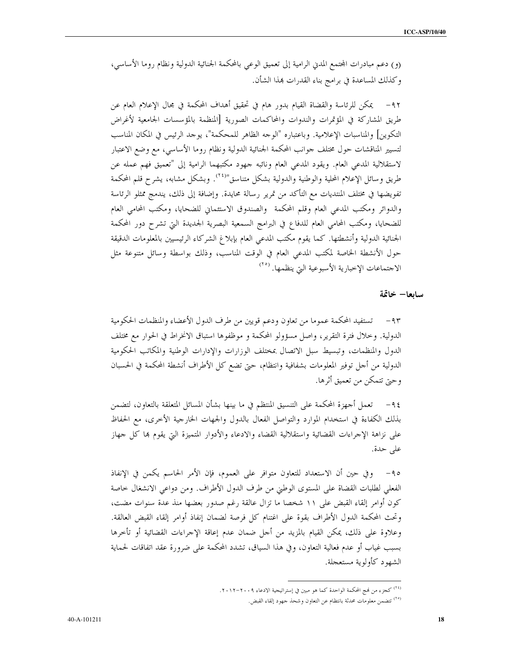(و) دعم مبادرات المحتمع المدني الرامية إلى تعميق الوعبي بالمحكمة الجنائية الدولية ونظام روما الأساسبي، وكذلك المساعدة في برامج بناء القدرات هذا الشأن.

٩٢– يمكن للرئاسة والقضاة القيام بدور هام في تحقيق أهداف المحكمة في مجال الإعلام العام عن طريق المشاركة في المؤتمرات والندوات والمحاكمات الصورية [المنظمة بالمؤسسات الجامعية لأغراض التكوين] والمناسبات الإعلامية. وباعتباره "الوجه الظاهر للمحكمة"، يوجد الرئيس في المكان المناسب لتسيير المناقشات حول مختلف جوانب المحكمة الجنائية الدولية ونظام روما الأساسى، مع وضع الاعتبار لاستقلالية المدعى العام. ويقود المدعى العام ونائبه جهود مكتبهما الرامية إلى "تعميق فهم عمله عن طريق وسائل الإعلام المحلية والوطنية والدولية بشكل متناسق"<sup>(٢٤)</sup>. وبشكل مشابه، يشرح قلم المحكمة تفويضها في مختلف المنتديات مع التأكد من تمرير رسالة محايدة. وإضافة إلى ذلك، يندمج ممثلو الرئاسة والدوائر ومكتب المدعى العام وقلم المحكمة والصندوق الاستئماني للضحايا، ومكتب المحامى العام للضحايا، ومكتب المحامي العام للدفاع في البرامج السمعية البصرية الجديدة التي تشرح دور المحكمة الجنائية الدولية وأنشطتها. كما يقوم مكتب المدعى العام بإبلاغ الشركاء الرئيسيين بالمعلومات الدقيقة حول الأنشطة الخاصة لمكتب المدعى العام في الوقت المناسب، وذلك بواسطة وسائل متنوعة مثل الاحتماعات الإخبارية الأسبوعية التي ينظمها. <sup>(٢٥)</sup>

#### سابعا– خاتمة

٩٣ – تستفيد المحكمة عموما من تعاون ودعم قويين من طرف الدول الأعضاء والمنظمات الحكومية الدولية. وخلال فترة التقرير، وإصل مسؤولو المحكمة و موظفوها استباق الانخراط في الحوار مع مختلف الدول والمنظمات، وتبسيط سبل الاتصال بمختلف الوزارات والإدارات الوطنية والمكاتب الحكومية الدولية من أجل توفير المعلومات بشفافية وانتظام، حتى تضع كل الأطراف أنشطة المحكمة في الحسبان وحيّ تتمكَّن من تعميق أثرها.

٩٤– تعمل أجهزة المحكمة على التنسيق المنتظم في ما بينها بشأن المسائل المتعلقة بالتعاون، لتضمن بذلك الكفاءة في استخدام الموارد والتواصل الفعال بالدول والجهات الخارجية الأخرى، مع الحفاظ على نزاهة الإجراءات القضائية واستقلالية القضاء والادعاء والأدوار المتميزة التي يقوم بما كل جهاز على حدة.

٩٥– وفي حين أن الاستعداد للتعاون متوافر على العموم، فإن الأمر الحاسم يكمن في الإنفاذ الفعلي لطلبات القضاة على المستوى الوطني من طرف الدول الأطراف. ومن دواعي الانشغال حاصة كون أوامر إلقاء القبض على ١١ شخصا ما تزال عالقة رغم صدور بعضها منذ عدة سنوات مضت، وتحتْ المحكمة الدول الأطراف بقوة على اغتنام كلِّ فرصة لضمان إنفاذ أوامر إلقاء القبض العالقة. وعلاوة على ذلك، يمكن القيام بالمزيد من أحل ضمان عدم إعاقة الإجراءات القضائية أو تأخرها بسبب غياب أو عدم فعالية التعاون، وفي هذا السياق، تشدد المحكمة على ضرورة عقد اتفاقات لحماية الشهود كأولوية مستعجلة.

<sup>&</sup>lt;sup>(٢٤)</sup> كجزء من لهج المحكمة الواحدة كما هو مبين في إستراتيجية الادعاء ٢٠١٩–٢٠١٢.

<sup>&</sup>lt;sup>(٢٥)</sup> تتضمن معلومات محدثة بانتظام عن التعاون وشحذ جهود إلقاء القبض.